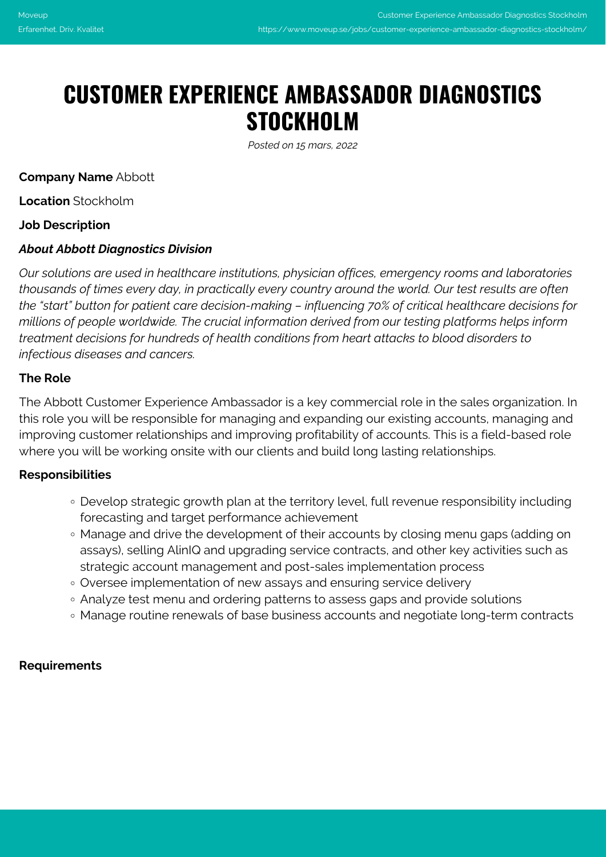# **CUSTOMER EXPERIENCE AMBASSADOR DIAGNOSTICS STOCKHOLM**

*Posted on 15 mars, 2022*

**Company Name** Abbott

**Location** Stockholm

## **Job Description**

## *About Abbott Diagnostics Division*

*Our solutions are used in healthcare institutions, physician offices, emergency rooms and laboratories thousands of times every day, in practically every country around the world. Our test results are often the "start" button for patient care decision-making – influencing 70% of critical healthcare decisions for millions of people worldwide. The crucial information derived from our testing platforms helps inform treatment decisions for hundreds of health conditions from heart attacks to blood disorders to infectious diseases and cancers.*

## **The Role**

The Abbott Customer Experience Ambassador is a key commercial role in the sales organization. In this role you will be responsible for managing and expanding our existing accounts, managing and improving customer relationships and improving profitability of accounts. This is a field-based role where you will be working onsite with our clients and build long lasting relationships.

#### **Responsibilities**

- Develop strategic growth plan at the territory level, full revenue responsibility including forecasting and target performance achievement
- Manage and drive the development of their accounts by closing menu gaps (adding on assays), selling AlinIQ and upgrading service contracts, and other key activities such as strategic account management and post-sales implementation process
- Oversee implementation of new assays and ensuring service delivery
- Analyze test menu and ordering patterns to assess gaps and provide solutions
- Manage routine renewals of base business accounts and negotiate long-term contracts

#### **Requirements**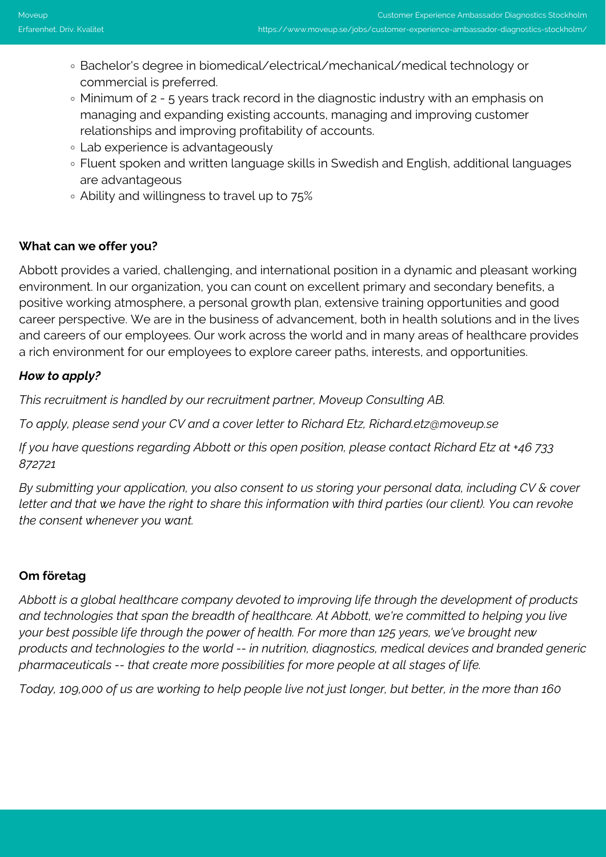- Bachelor's degree in biomedical/electrical/mechanical/medical technology or commercial is preferred.
- Minimum of 2 5 years track record in the diagnostic industry with an emphasis on managing and expanding existing accounts, managing and improving customer relationships and improving profitability of accounts.
- Lab experience is advantageously
- Fluent spoken and written language skills in Swedish and English, additional languages are advantageous
- Ability and willingness to travel up to 75%

# **What can we offer you?**

Abbott provides a varied, challenging, and international position in a dynamic and pleasant working environment. In our organization, you can count on excellent primary and secondary benefits, a positive working atmosphere, a personal growth plan, extensive training opportunities and good career perspective. We are in the business of advancement, both in health solutions and in the lives and careers of our employees. Our work across the world and in many areas of healthcare provides a rich environment for our employees to explore career paths, interests, and opportunities.

# *How to apply?*

*This recruitment is handled by our recruitment partner, Moveup Consulting AB.*

*To apply, please send your CV and a cover letter to Richard Etz, Richard.etz@moveup.se*

*If you have questions regarding Abbott or this open position, please contact Richard Etz at +46 733 872721*

*By submitting your application, you also consent to us storing your personal data, including CV & cover letter and that we have the right to share this information with third parties (our client). You can revoke the consent whenever you want.*

# **Om företag**

*Abbott is a global healthcare company devoted to improving life through the development of products and technologies that span the breadth of healthcare. At Abbott, we're committed to helping you live your best possible life through the power of health. For more than 125 years, we've brought new products and technologies to the world -- in nutrition, diagnostics, medical devices and branded generic pharmaceuticals -- that create more possibilities for more people at all stages of life.*

*Today, 109,000 of us are working to help people live not just longer, but better, in the more than 160*